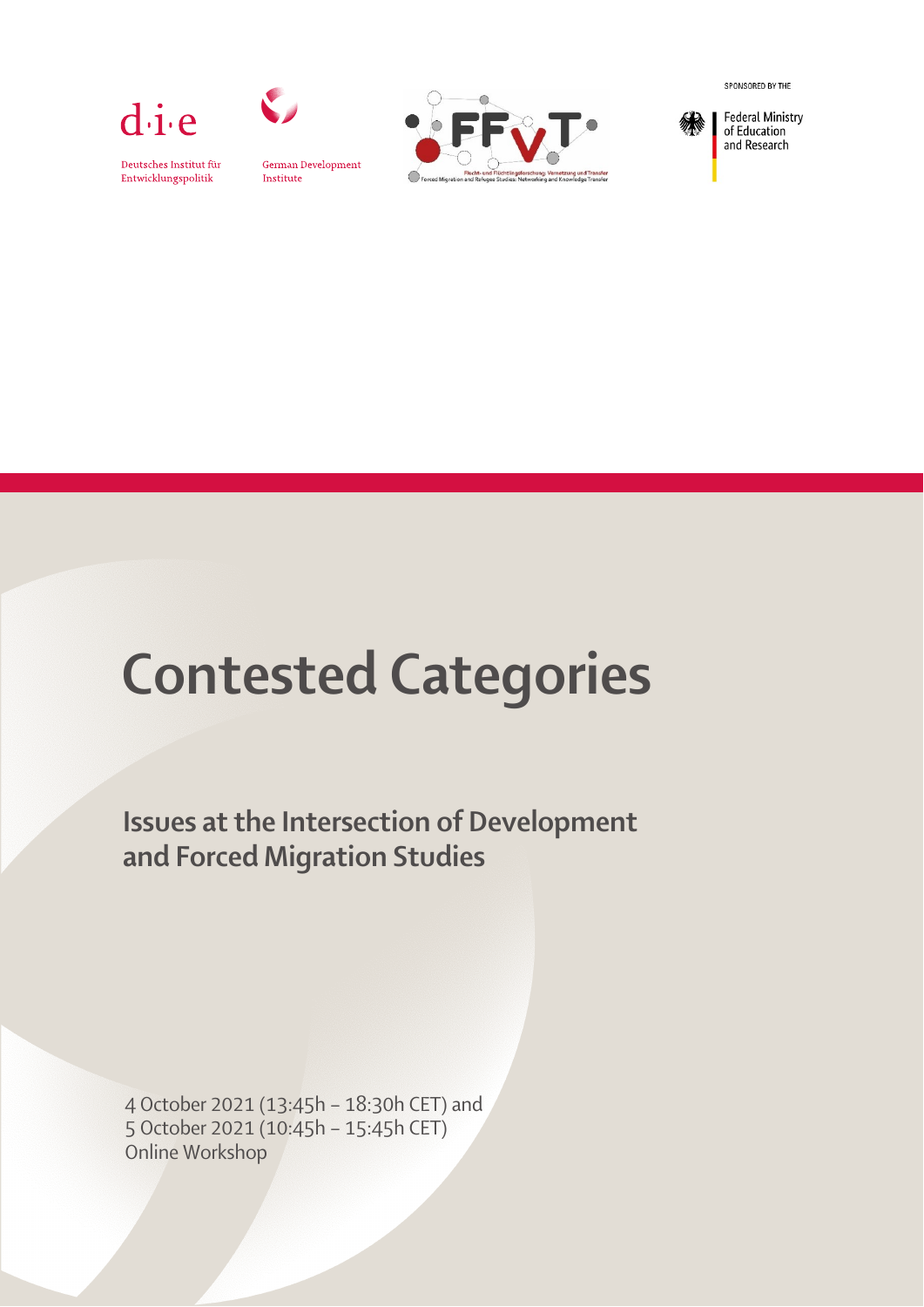

Deutsches Institut für

Entwicklungspolitik



German Development Institute



SPONSORED BY THE



of Education and Research

# Contested Categories

Issues at the Intersection of Development and Forced Migration Studies

4 October 2021 (13:45h – 18:30h CET) and 5 October 2021 (10:45h – 15:45h CET) Online Workshop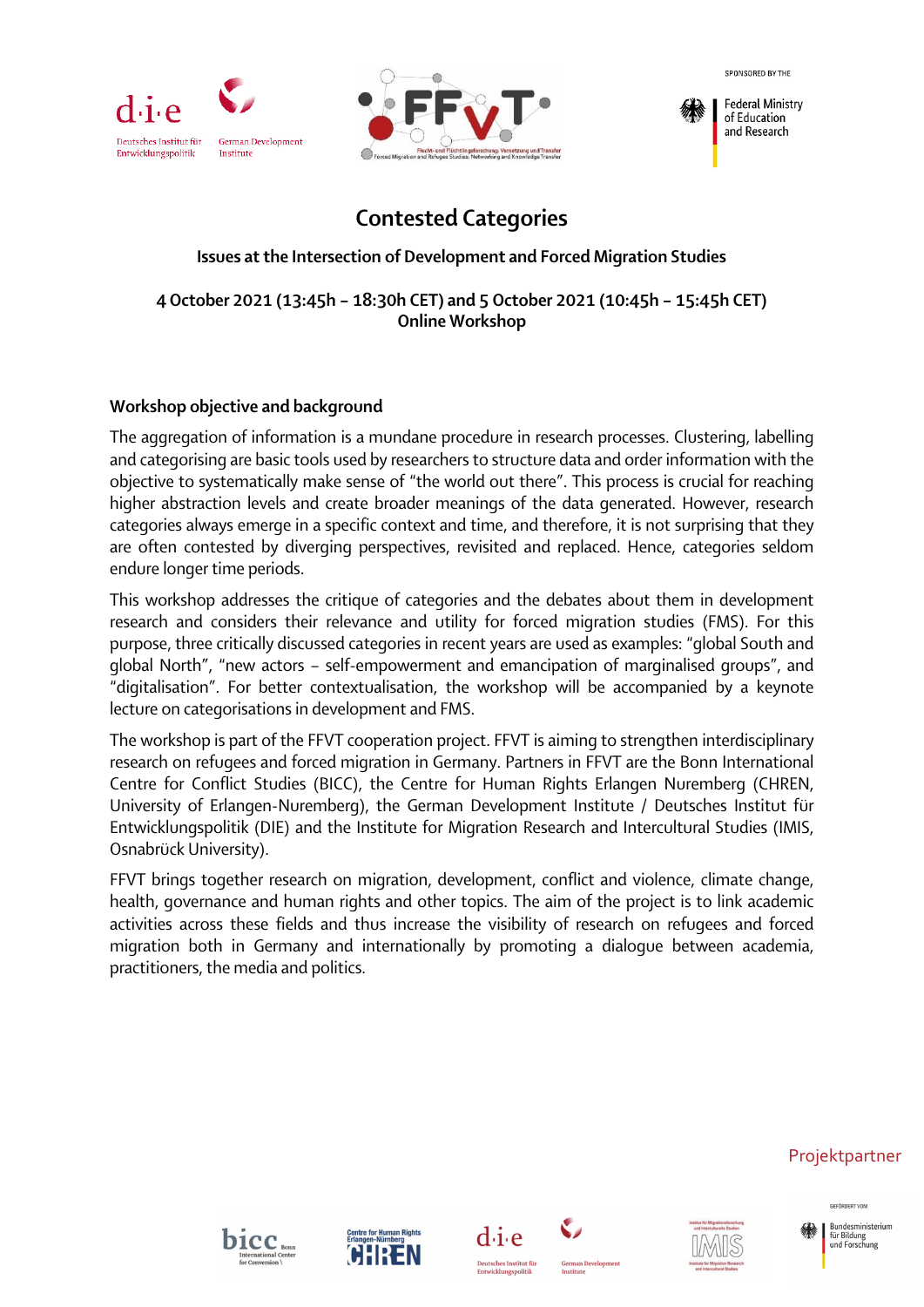



**Federal Ministry** of Education and Research

# **Contested Categories**

#### **Issues at the Intersection of Development and Forced Migration Studies**

**4 October 2021 (13:45h – 18:30h CET) and 5 October 2021 (10:45h – 15:45h CET) Online Workshop** 

#### Workshop objective and background

The aggregation of information is a mundane procedure in research processes. Clustering, labelling and categorising are basic tools used by researchers to structure data and order information with the objective to systematically make sense of "the world out there". This process is crucial for reaching higher abstraction levels and create broader meanings of the data generated. However, research categories always emerge in a specific context and time, and therefore, it is not surprising that they are often contested by diverging perspectives, revisited and replaced. Hence, categories seldom endure longer time periods.

This workshop addresses the critique of categories and the debates about them in development research and considers their relevance and utility for forced migration studies (FMS). For this purpose, three critically discussed categories in recent years are used as examples: "global South and global North", "new actors – self-empowerment and emancipation of marginalised groups", and "digitalisation". For better contextualisation, the workshop will be accompanied by a keynote lecture on categorisations in development and FMS.

The workshop is part of the FFVT cooperation project. FFVT is aiming to strengthen interdisciplinary research on refugees and forced migration in Germany. Partners in FFVT are the Bonn International Centre for Conflict Studies (BICC), the Centre for Human Rights Erlangen Nuremberg (CHREN, University of Erlangen-Nuremberg), the German Development Institute / Deutsches Institut für Entwicklungspolitik (DIE) and the Institute for Migration Research and Intercultural Studies (IMIS, Osnabrück University).

FFVT brings together research on migration, development, conflict and violence, climate change, health, governance and human rights and other topics. The aim of the project is to link academic activities across these fields and thus increase the visibility of research on refugees and forced migration both in Germany and internationally by promoting a dialogue between academia, practitioners, the media and politics.

#### Projektpartner

CECÃONEOT VOM